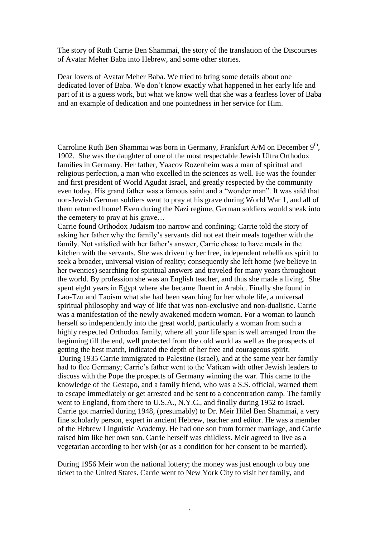The story of Ruth Carrie Ben Shammai, the story of the translation of the Discourses of Avatar Meher Baba into Hebrew, and some other stories.

Dear lovers of Avatar Meher Baba. We tried to bring some details about one dedicated lover of Baba. We don't know exactly what happened in her early life and part of it is a guess work, but what we know well that she was a fearless lover of Baba and an example of dedication and one pointedness in her service for Him.

Carroline Ruth Ben Shammai was born in Germany, Frankfurt A/M on December  $9<sup>th</sup>$ , 1902. She was the daughter of one of the most respectable Jewish Ultra Orthodox families in Germany. Her father, Yaacov Rozenheim was a man of spiritual and religious perfection, a man who excelled in the sciences as well. He was the founder and first president of World Agudat Israel, and greatly respected by the community even today. His grand father was a famous saint and a "wonder man". It was said that non-Jewish German soldiers went to pray at his grave during World War 1, and all of them returned home! Even during the Nazi regime, German soldiers would sneak into the cemetery to pray at his grave…

Carrie found Orthodox Judaism too narrow and confining; Carrie told the story of asking her father why the family's servants did not eat their meals together with the family. Not satisfied with her father's answer, Carrie chose to have meals in the kitchen with the servants. She was driven by her free, independent rebellious spirit to seek a broader, universal vision of reality; consequently she left home (we believe in her twenties) searching for spiritual answers and traveled for many years throughout the world. By profession she was an English teacher, and thus she made a living. She spent eight years in Egypt where she became fluent in Arabic. Finally she found in Lao-Tzu and Taoism what she had been searching for her whole life, a universal spiritual philosophy and way of life that was non-exclusive and non-dualistic. Carrie was a manifestation of the newly awakened modern woman. For a woman to launch herself so independently into the great world, particularly a woman from such a highly respected Orthodox family, where all your life span is well arranged from the beginning till the end, well protected from the cold world as well as the prospects of getting the best match, indicated the depth of her free and courageous spirit. During 1935 Carrie immigrated to Palestine (Israel), and at the same year her family had to flee Germany; Carrie's father went to the Vatican with other Jewish leaders to discuss with the Pope the prospects of Germany winning the war. This came to the knowledge of the Gestapo, and a family friend, who was a S.S. official, warned them to escape immediately or get arrested and be sent to a concentration camp. The family went to England, from there to U.S.A., N.Y.C., and finally during 1952 to Israel. Carrie got married during 1948, (presumably) to Dr. Meir Hilel Ben Shammai, a very fine scholarly person, expert in ancient Hebrew, teacher and editor. He was a member of the Hebrew Linguistic Academy. He had one son from former marriage, and Carrie raised him like her own son. Carrie herself was childless. Meir agreed to live as a vegetarian according to her wish (or as a condition for her consent to be married).

During 1956 Meir won the national lottery; the money was just enough to buy one ticket to the United States. Carrie went to New York City to visit her family, and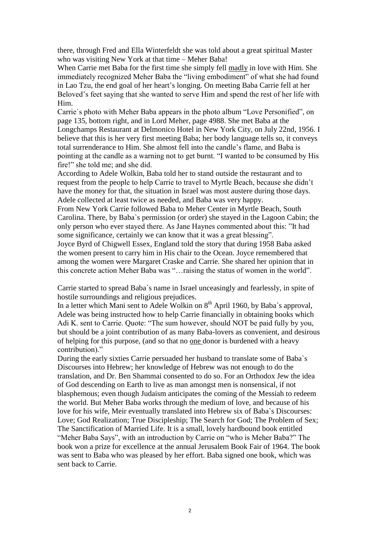there, through Fred and Ella Winterfeldt she was told about a great spiritual Master who was visiting New York at that time – Meher Baba!

When Carrie met Baba for the first time she simply fell madly in love with Him. She immediately recognized Meher Baba the "living embodiment" of what she had found in Lao Tzu, the end goal of her heart's longing. On meeting Baba Carrie fell at her Beloved's feet saying that she wanted to serve Him and spend the rest of her life with Him.

Carrie`s photo with Meher Baba appears in the photo album "Love Personified", on page 135, bottom right, and in Lord Meher, page 4988. She met Baba at the Longchamps Restaurant at Delmonico Hotel in New York City, on July 22nd, 1956. I believe that this is her very first meeting Baba; her body language tells so, it conveys total surrenderance to Him. She almost fell into the candle's flame, and Baba is pointing at the candle as a warning not to get burnt. "I wanted to be consumed by His fire!" she told me; and she did.

According to Adele Wolkin, Baba told her to stand outside the restaurant and to request from the people to help Carrie to travel to Myrtle Beach, because she didn't have the money for that, the situation in Israel was most austere during those days. Adele collected at least twice as needed, and Baba was very happy.

From New York Carrie followed Baba to Meher Center in Myrtle Beach, South Carolina. There, by Baba`s permission (or order) she stayed in the Lagoon Cabin; the only person who ever stayed there. As Jane Haynes commented about this: "It had some significance, certainly we can know that it was a great blessing".

Joyce Byrd of Chigwell Essex, England told the story that during 1958 Baba asked the women present to carry him in His chair to the Ocean. Joyce remembered that among the women were Margaret Craske and Carrie. She shared her opinion that in this concrete action Meher Baba was "…raising the status of women in the world".

Carrie started to spread Baba`s name in Israel unceasingly and fearlessly, in spite of hostile surroundings and religious prejudices.

In a letter which Mani sent to Adele Wolkin on  $8<sup>th</sup>$  April 1960, by Baba`s approval, Adele was being instructed how to help Carrie financially in obtaining books which Adi K. sent to Carrie. Quote: "The sum however, should NOT be paid fully by you, but should be a joint contribution of as many Baba-lovers as convenient, and desirous of helping for this purpose, (and so that no one donor is burdened with a heavy contribution)."

During the early sixties Carrie persuaded her husband to translate some of Baba`s Discourses into Hebrew; her knowledge of Hebrew was not enough to do the translation, and Dr. Ben Shammai consented to do so. For an Orthodox Jew the idea of God descending on Earth to live as man amongst men is nonsensical, if not blasphemous; even though Judaism anticipates the coming of the Messiah to redeem the world. But Meher Baba works through the medium of love, and because of his love for his wife, Meir eventually translated into Hebrew six of Baba`s Discourses: Love; God Realization; True Discipleship; The Search for God; The Problem of Sex; The Sanctification of Married Life. It is a small, lovely hardbound book entitled "Meher Baba Says", with an introduction by Carrie on "who is Meher Baba?" The book won a prize for excellence at the annual Jerusalem Book Fair of 1964. The book was sent to Baba who was pleased by her effort. Baba signed one book, which was sent back to Carrie.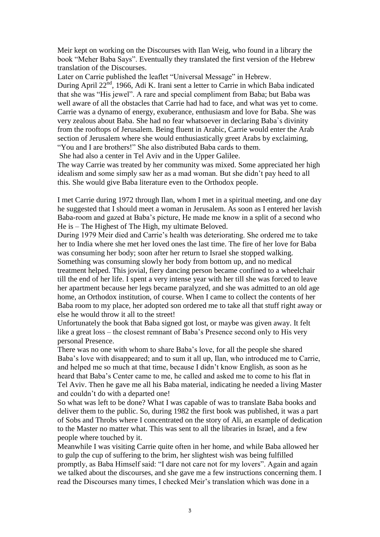Meir kept on working on the Discourses with Ilan Weig, who found in a library the book "Meher Baba Says". Eventually they translated the first version of the Hebrew translation of the Discourses.

Later on Carrie published the leaflet "Universal Message" in Hebrew. During April 22<sup>nd</sup>, 1966, Adi K. Irani sent a letter to Carrie in which Baba indicated that she was "His jewel". A rare and special compliment from Baba; but Baba was well aware of all the obstacles that Carrie had had to face, and what was yet to come. Carrie was a dynamo of energy, exuberance, enthusiasm and love for Baba. She was very zealous about Baba. She had no fear whatsoever in declaring Baba`s divinity from the rooftops of Jerusalem. Being fluent in Arabic, Carrie would enter the Arab section of Jerusalem where she would enthusiastically greet Arabs by exclaiming, "You and I are brothers!" She also distributed Baba cards to them.

She had also a center in Tel Aviv and in the Upper Galilee.

The way Carrie was treated by her community was mixed. Some appreciated her high idealism and some simply saw her as a mad woman. But she didn't pay heed to all this. She would give Baba literature even to the Orthodox people.

I met Carrie during 1972 through Ilan, whom I met in a spiritual meeting, and one day he suggested that I should meet a woman in Jerusalem. As soon as I entered her lavish Baba-room and gazed at Baba's picture, He made me know in a split of a second who He is – The Highest of The High, my ultimate Beloved.

During 1979 Meir died and Carrie's health was deteriorating. She ordered me to take her to India where she met her loved ones the last time. The fire of her love for Baba was consuming her body; soon after her return to Israel she stopped walking. Something was consuming slowly her body from bottom up, and no medical

treatment helped. This jovial, fiery dancing person became confined to a wheelchair till the end of her life. I spent a very intense year with her till she was forced to leave her apartment because her legs became paralyzed, and she was admitted to an old age home, an Orthodox institution, of course. When I came to collect the contents of her Baba room to my place, her adopted son ordered me to take all that stuff right away or else he would throw it all to the street!

Unfortunately the book that Baba signed got lost, or maybe was given away. It felt like a great loss – the closest remnant of Baba's Presence second only to His very personal Presence.

There was no one with whom to share Baba's love, for all the people she shared Baba's love with disappeared; and to sum it all up, Ilan, who introduced me to Carrie, and helped me so much at that time, because I didn't know English, as soon as he heard that Baba's Center came to me, he called and asked me to come to his flat in Tel Aviv. Then he gave me all his Baba material, indicating he needed a living Master and couldn't do with a departed one!

So what was left to be done? What I was capable of was to translate Baba books and deliver them to the public. So, during 1982 the first book was published, it was a part of Sobs and Throbs where I concentrated on the story of Ali, an example of dedication to the Master no matter what. This was sent to all the libraries in Israel, and a few people where touched by it.

Meanwhile I was visiting Carrie quite often in her home, and while Baba allowed her to gulp the cup of suffering to the brim, her slightest wish was being fulfilled promptly, as Baba Himself said: "I dare not care not for my lovers". Again and again we talked about the discourses, and she gave me a few instructions concerning them. I read the Discourses many times, I checked Meir's translation which was done in a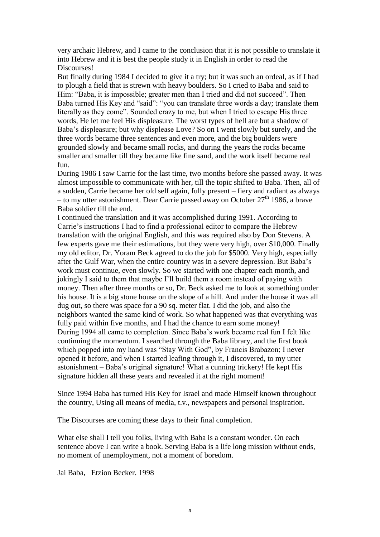very archaic Hebrew, and I came to the conclusion that it is not possible to translate it into Hebrew and it is best the people study it in English in order to read the Discourses!

But finally during 1984 I decided to give it a try; but it was such an ordeal, as if I had to plough a field that is strewn with heavy boulders. So I cried to Baba and said to Him: "Baba, it is impossible; greater men than I tried and did not succeed". Then Baba turned His Key and "said": "you can translate three words a day; translate them literally as they come". Sounded crazy to me, but when I tried to escape His three words, He let me feel His displeasure. The worst types of hell are but a shadow of Baba's displeasure; but why displease Love? So on I went slowly but surely, and the three words became three sentences and even more, and the big boulders were grounded slowly and became small rocks, and during the years the rocks became smaller and smaller till they became like fine sand, and the work itself became real fun.

During 1986 I saw Carrie for the last time, two months before she passed away. It was almost impossible to communicate with her, till the topic shifted to Baba. Then, all of a sudden, Carrie became her old self again, fully present – fiery and radiant as always – to my utter astonishment. Dear Carrie passed away on October  $27<sup>th</sup>$  1986, a brave Baba soldier till the end.

I continued the translation and it was accomplished during 1991. According to Carrie's instructions I had to find a professional editor to compare the Hebrew translation with the original English, and this was required also by Don Stevens. A few experts gave me their estimations, but they were very high, over \$10,000. Finally my old editor, Dr. Yoram Beck agreed to do the job for \$5000. Very high, especially after the Gulf War, when the entire country was in a severe depression. But Baba's work must continue, even slowly. So we started with one chapter each month, and jokingly I said to them that maybe I'll build them a room instead of paying with money. Then after three months or so, Dr. Beck asked me to look at something under his house. It is a big stone house on the slope of a hill. And under the house it was all dug out, so there was space for a 90 sq. meter flat. I did the job, and also the neighbors wanted the same kind of work. So what happened was that everything was fully paid within five months, and I had the chance to earn some money! During 1994 all came to completion. Since Baba's work became real fun I felt like continuing the momentum. I searched through the Baba library, and the first book which popped into my hand was "Stay With God", by Francis Brabazon; I never opened it before, and when I started leafing through it, I discovered, to my utter astonishment – Baba's original signature! What a cunning trickery! He kept His signature hidden all these years and revealed it at the right moment!

Since 1994 Baba has turned His Key for Israel and made Himself known throughout the country, Using all means of media, t.v., newspapers and personal inspiration.

The Discourses are coming these days to their final completion.

What else shall I tell you folks, living with Baba is a constant wonder. On each sentence above I can write a book. Serving Baba is a life long mission without ends, no moment of unemployment, not a moment of boredom.

Jai Baba, Etzion Becker. 1998